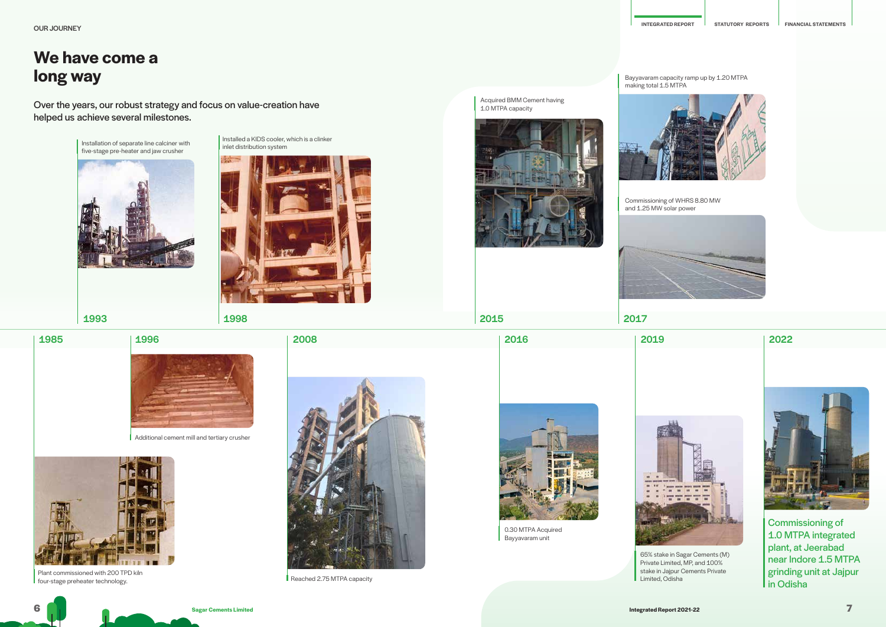

Plant commissioned with 200 TPD kiln four-stage preheater technology.



Reached 2.75 MTPA capacity

Acquired BMM Cement having

1.0 MTPA capacity



0.30 MTPA Acquired Bayyavaram unit



Commissioning of 1.0 MTPA integrated plant, at Jeerabad near Indore 1.5 MTPA grinding unit at Jajpur in Odisha





65% stake in Sagar Cements (M) Private Limited, MP, and 100% stake in Jajpur Cements Private

Limited, Odisha

Bayyavaram capacity ramp up by 1.20 MTPA making total 1.5 MTPA



Commissioning of WHRS 8.80 MW and 1.25 MW solar power



## **We have come a long way**

Over the years, our robust strategy and focus on value-creation have helped us achieve several milestones.